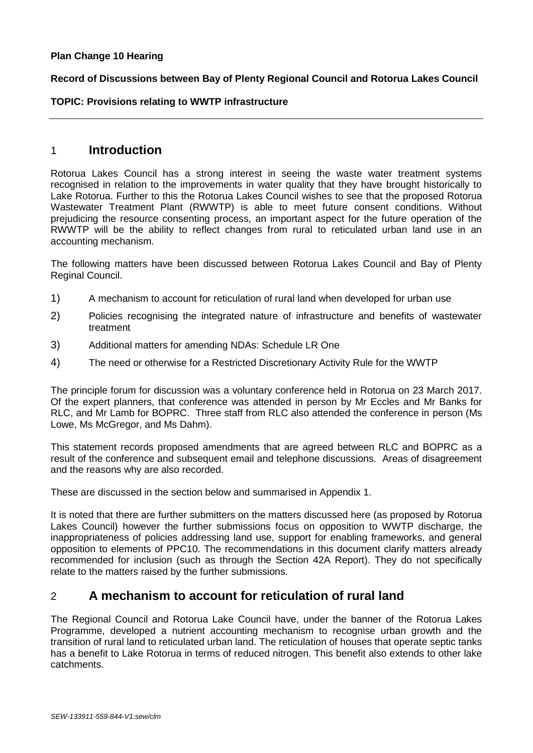#### **Plan Change 10 Hearing**

#### **Record of Discussions between Bay of Plenty Regional Council and Rotorua Lakes Council**

#### **TOPIC: Provisions relating to WWTP infrastructure**

## 1 **Introduction**

Rotorua Lakes Council has a strong interest in seeing the waste water treatment systems recognised in relation to the improvements in water quality that they have brought historically to Lake Rotorua. Further to this the Rotorua Lakes Council wishes to see that the proposed Rotorua Wastewater Treatment Plant (RWWTP) is able to meet future consent conditions. Without prejudicing the resource consenting process, an important aspect for the future operation of the RWWTP will be the ability to reflect changes from rural to reticulated urban land use in an accounting mechanism.

The following matters have been discussed between Rotorua Lakes Council and Bay of Plenty Reginal Council.

- 1) A mechanism to account for reticulation of rural land when developed for urban use
- 2) Policies recognising the integrated nature of infrastructure and benefits of wastewater treatment
- 3) Additional matters for amending NDAs: Schedule LR One
- 4) The need or otherwise for a Restricted Discretionary Activity Rule for the WWTP

The principle forum for discussion was a voluntary conference held in Rotorua on 23 March 2017. Of the expert planners, that conference was attended in person by Mr Eccles and Mr Banks for RLC, and Mr Lamb for BOPRC. Three staff from RLC also attended the conference in person (Ms Lowe, Ms McGregor, and Ms Dahm).

This statement records proposed amendments that are agreed between RLC and BOPRC as a result of the conference and subsequent email and telephone discussions. Areas of disagreement and the reasons why are also recorded.

These are discussed in the section below and summarised in Appendix 1.

It is noted that there are further submitters on the matters discussed here (as proposed by Rotorua Lakes Council) however the further submissions focus on opposition to WWTP discharge, the inappropriateness of policies addressing land use, support for enabling frameworks, and general opposition to elements of PPC10. The recommendations in this document clarify matters already recommended for inclusion (such as through the Section 42A Report). They do not specifically relate to the matters raised by the further submissions.

## 2 **A mechanism to account for reticulation of rural land**

The Regional Council and Rotorua Lake Council have, under the banner of the Rotorua Lakes Programme, developed a nutrient accounting mechanism to recognise urban growth and the transition of rural land to reticulated urban land. The reticulation of houses that operate septic tanks has a benefit to Lake Rotorua in terms of reduced nitrogen. This benefit also extends to other lake catchments.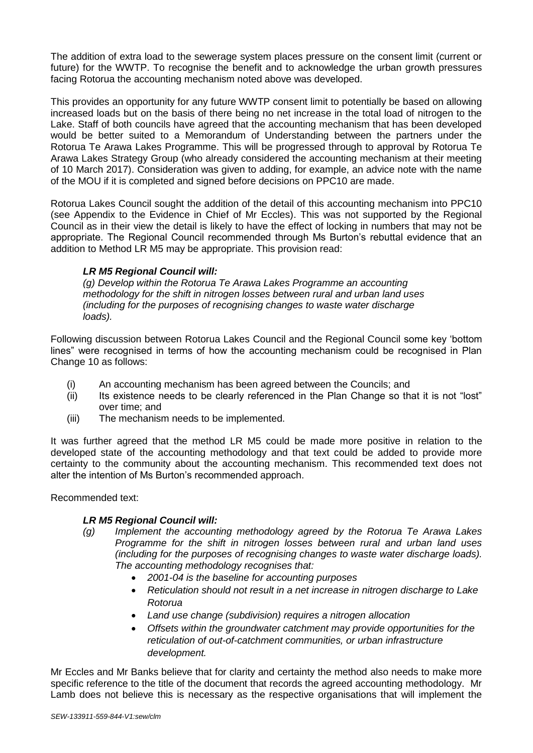The addition of extra load to the sewerage system places pressure on the consent limit (current or future) for the WWTP. To recognise the benefit and to acknowledge the urban growth pressures facing Rotorua the accounting mechanism noted above was developed.

This provides an opportunity for any future WWTP consent limit to potentially be based on allowing increased loads but on the basis of there being no net increase in the total load of nitrogen to the Lake. Staff of both councils have agreed that the accounting mechanism that has been developed would be better suited to a Memorandum of Understanding between the partners under the Rotorua Te Arawa Lakes Programme. This will be progressed through to approval by Rotorua Te Arawa Lakes Strategy Group (who already considered the accounting mechanism at their meeting of 10 March 2017). Consideration was given to adding, for example, an advice note with the name of the MOU if it is completed and signed before decisions on PPC10 are made.

Rotorua Lakes Council sought the addition of the detail of this accounting mechanism into PPC10 (see Appendix to the Evidence in Chief of Mr Eccles). This was not supported by the Regional Council as in their view the detail is likely to have the effect of locking in numbers that may not be appropriate. The Regional Council recommended through Ms Burton's rebuttal evidence that an addition to Method LR M5 may be appropriate. This provision read:

### *LR M5 Regional Council will:*

*(g) Develop within the Rotorua Te Arawa Lakes Programme an accounting methodology for the shift in nitrogen losses between rural and urban land uses (including for the purposes of recognising changes to waste water discharge loads).*

Following discussion between Rotorua Lakes Council and the Regional Council some key 'bottom lines" were recognised in terms of how the accounting mechanism could be recognised in Plan Change 10 as follows:

- (i) An accounting mechanism has been agreed between the Councils; and
- (ii) Its existence needs to be clearly referenced in the Plan Change so that it is not "lost" over time; and
- (iii) The mechanism needs to be implemented.

It was further agreed that the method LR M5 could be made more positive in relation to the developed state of the accounting methodology and that text could be added to provide more certainty to the community about the accounting mechanism. This recommended text does not alter the intention of Ms Burton's recommended approach.

Recommended text:

### *LR M5 Regional Council will:*

- *(g) Implement the accounting methodology agreed by the Rotorua Te Arawa Lakes Programme for the shift in nitrogen losses between rural and urban land uses (including for the purposes of recognising changes to waste water discharge loads). The accounting methodology recognises that:*
	- *2001-04 is the baseline for accounting purposes*
	- *Reticulation should not result in a net increase in nitrogen discharge to Lake Rotorua*
	- *Land use change (subdivision) requires a nitrogen allocation*
	- *Offsets within the groundwater catchment may provide opportunities for the reticulation of out-of-catchment communities, or urban infrastructure development.*

Mr Eccles and Mr Banks believe that for clarity and certainty the method also needs to make more specific reference to the title of the document that records the agreed accounting methodology. Mr Lamb does not believe this is necessary as the respective organisations that will implement the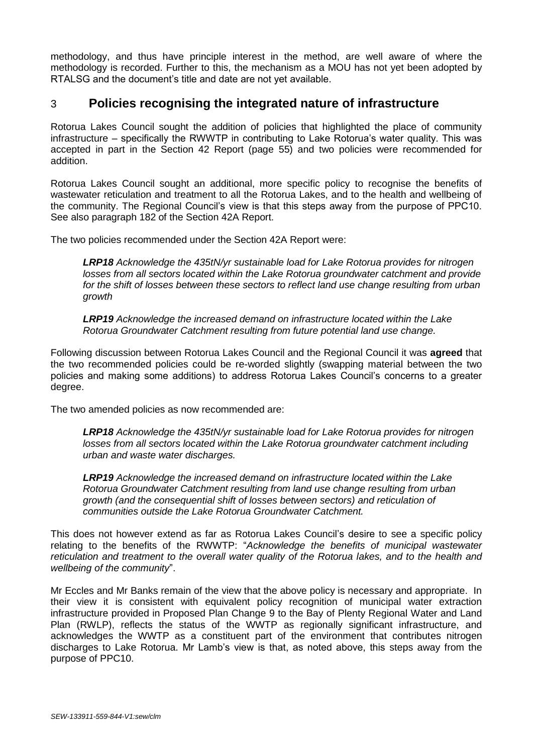methodology, and thus have principle interest in the method, are well aware of where the methodology is recorded. Further to this, the mechanism as a MOU has not yet been adopted by RTALSG and the document's title and date are not yet available.

# 3 **Policies recognising the integrated nature of infrastructure**

Rotorua Lakes Council sought the addition of policies that highlighted the place of community infrastructure – specifically the RWWTP in contributing to Lake Rotorua's water quality. This was accepted in part in the Section 42 Report (page 55) and two policies were recommended for addition.

Rotorua Lakes Council sought an additional, more specific policy to recognise the benefits of wastewater reticulation and treatment to all the Rotorua Lakes, and to the health and wellbeing of the community. The Regional Council's view is that this steps away from the purpose of PPC10. See also paragraph 182 of the Section 42A Report.

The two policies recommended under the Section 42A Report were:

*LRP18 Acknowledge the 435tN/yr sustainable load for Lake Rotorua provides for nitrogen losses from all sectors located within the Lake Rotorua groundwater catchment and provide for the shift of losses between these sectors to reflect land use change resulting from urban growth*

*LRP19 Acknowledge the increased demand on infrastructure located within the Lake Rotorua Groundwater Catchment resulting from future potential land use change.*

Following discussion between Rotorua Lakes Council and the Regional Council it was **agreed** that the two recommended policies could be re-worded slightly (swapping material between the two policies and making some additions) to address Rotorua Lakes Council's concerns to a greater degree.

The two amended policies as now recommended are:

*LRP18 Acknowledge the 435tN/yr sustainable load for Lake Rotorua provides for nitrogen losses from all sectors located within the Lake Rotorua groundwater catchment including urban and waste water discharges.* 

*LRP19 Acknowledge the increased demand on infrastructure located within the Lake Rotorua Groundwater Catchment resulting from land use change resulting from urban growth (and the consequential shift of losses between sectors) and reticulation of communities outside the Lake Rotorua Groundwater Catchment.*

This does not however extend as far as Rotorua Lakes Council's desire to see a specific policy relating to the benefits of the RWWTP: "*Acknowledge the benefits of municipal wastewater reticulation and treatment to the overall water quality of the Rotorua lakes, and to the health and wellbeing of the community*".

Mr Eccles and Mr Banks remain of the view that the above policy is necessary and appropriate. In their view it is consistent with equivalent policy recognition of municipal water extraction infrastructure provided in Proposed Plan Change 9 to the Bay of Plenty Regional Water and Land Plan (RWLP), reflects the status of the WWTP as regionally significant infrastructure, and acknowledges the WWTP as a constituent part of the environment that contributes nitrogen discharges to Lake Rotorua. Mr Lamb's view is that, as noted above, this steps away from the purpose of PPC10.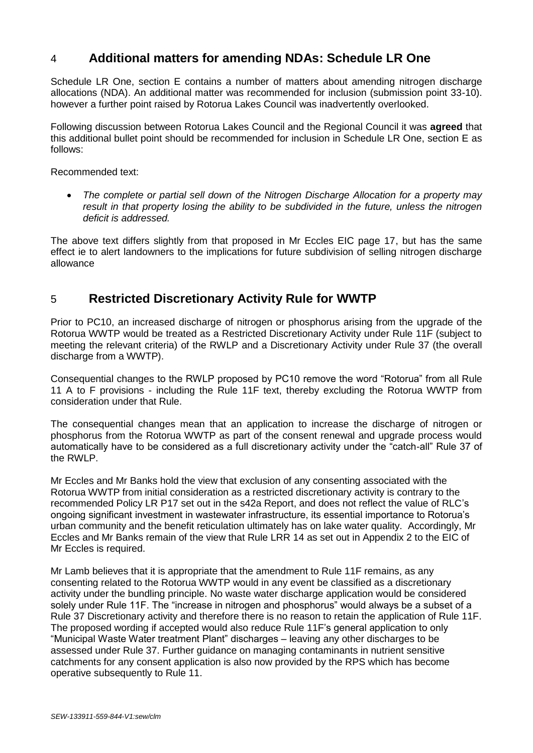# 4 **Additional matters for amending NDAs: Schedule LR One**

Schedule LR One, section E contains a number of matters about amending nitrogen discharge allocations (NDA). An additional matter was recommended for inclusion (submission point 33-10). however a further point raised by Rotorua Lakes Council was inadvertently overlooked.

Following discussion between Rotorua Lakes Council and the Regional Council it was **agreed** that this additional bullet point should be recommended for inclusion in Schedule LR One, section E as follows:

Recommended text:

 *The complete or partial sell down of the Nitrogen Discharge Allocation for a property may result in that property losing the ability to be subdivided in the future, unless the nitrogen deficit is addressed.*

The above text differs slightly from that proposed in Mr Eccles EIC page 17, but has the same effect ie to alert landowners to the implications for future subdivision of selling nitrogen discharge allowance

# 5 **Restricted Discretionary Activity Rule for WWTP**

Prior to PC10, an increased discharge of nitrogen or phosphorus arising from the upgrade of the Rotorua WWTP would be treated as a Restricted Discretionary Activity under Rule 11F (subject to meeting the relevant criteria) of the RWLP and a Discretionary Activity under Rule 37 (the overall discharge from a WWTP).

Consequential changes to the RWLP proposed by PC10 remove the word "Rotorua" from all Rule 11 A to F provisions - including the Rule 11F text, thereby excluding the Rotorua WWTP from consideration under that Rule.

The consequential changes mean that an application to increase the discharge of nitrogen or phosphorus from the Rotorua WWTP as part of the consent renewal and upgrade process would automatically have to be considered as a full discretionary activity under the "catch-all" Rule 37 of the RWLP.

Mr Eccles and Mr Banks hold the view that exclusion of any consenting associated with the Rotorua WWTP from initial consideration as a restricted discretionary activity is contrary to the recommended Policy LR P17 set out in the s42a Report, and does not reflect the value of RLC's ongoing significant investment in wastewater infrastructure, its essential importance to Rotorua's urban community and the benefit reticulation ultimately has on lake water quality. Accordingly, Mr Eccles and Mr Banks remain of the view that Rule LRR 14 as set out in Appendix 2 to the EIC of Mr Eccles is required.

Mr Lamb believes that it is appropriate that the amendment to Rule 11F remains, as any consenting related to the Rotorua WWTP would in any event be classified as a discretionary activity under the bundling principle. No waste water discharge application would be considered solely under Rule 11F. The "increase in nitrogen and phosphorus" would always be a subset of a Rule 37 Discretionary activity and therefore there is no reason to retain the application of Rule 11F. The proposed wording if accepted would also reduce Rule 11F's general application to only "Municipal Waste Water treatment Plant" discharges – leaving any other discharges to be assessed under Rule 37. Further guidance on managing contaminants in nutrient sensitive catchments for any consent application is also now provided by the RPS which has become operative subsequently to Rule 11.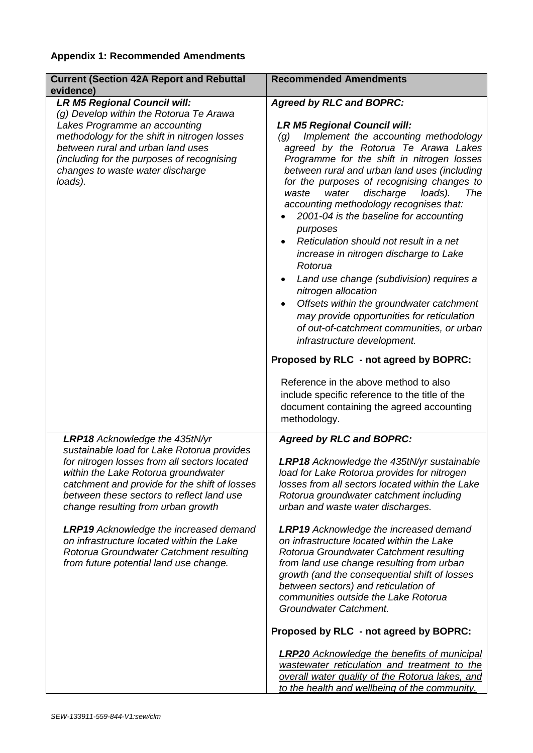# **Appendix 1: Recommended Amendments**

| <b>Current (Section 42A Report and Rebuttal</b><br>evidence)                                                                                                                                                                                                                                                                                                                                                                                                                               | <b>Recommended Amendments</b>                                                                                                                                                                                                                                                                                                                                                                                                                                                                                                                                                                                                                                                                                                                                                                                                                                                                                                                                                                                                     |
|--------------------------------------------------------------------------------------------------------------------------------------------------------------------------------------------------------------------------------------------------------------------------------------------------------------------------------------------------------------------------------------------------------------------------------------------------------------------------------------------|-----------------------------------------------------------------------------------------------------------------------------------------------------------------------------------------------------------------------------------------------------------------------------------------------------------------------------------------------------------------------------------------------------------------------------------------------------------------------------------------------------------------------------------------------------------------------------------------------------------------------------------------------------------------------------------------------------------------------------------------------------------------------------------------------------------------------------------------------------------------------------------------------------------------------------------------------------------------------------------------------------------------------------------|
| <b>LR M5 Regional Council will:</b><br>(g) Develop within the Rotorua Te Arawa<br>Lakes Programme an accounting<br>methodology for the shift in nitrogen losses<br>between rural and urban land uses<br>(including for the purposes of recognising<br>changes to waste water discharge<br>loads).                                                                                                                                                                                          | <b>Agreed by RLC and BOPRC:</b><br><b>LR M5 Regional Council will:</b><br>Implement the accounting methodology<br>$\left( q\right)$<br>agreed by the Rotorua Te Arawa Lakes<br>Programme for the shift in nitrogen losses<br>between rural and urban land uses (including<br>for the purposes of recognising changes to<br>waste<br>water<br>discharge<br>loads).<br>The<br>accounting methodology recognises that:<br>2001-04 is the baseline for accounting<br>purposes<br>Reticulation should not result in a net<br>increase in nitrogen discharge to Lake<br>Rotorua<br>Land use change (subdivision) requires a<br>nitrogen allocation<br>Offsets within the groundwater catchment<br>$\bullet$<br>may provide opportunities for reticulation<br>of out-of-catchment communities, or urban<br>infrastructure development.<br>Proposed by RLC - not agreed by BOPRC:<br>Reference in the above method to also<br>include specific reference to the title of the<br>document containing the agreed accounting<br>methodology. |
| LRP18 Acknowledge the 435tN/yr<br>sustainable load for Lake Rotorua provides<br>for nitrogen losses from all sectors located<br>within the Lake Rotorua groundwater<br>catchment and provide for the shift of losses<br>between these sectors to reflect land use<br>change resulting from urban growth<br><b>LRP19</b> Acknowledge the increased demand<br>on infrastructure located within the Lake<br>Rotorua Groundwater Catchment resulting<br>from future potential land use change. | <b>Agreed by RLC and BOPRC:</b><br><b>LRP18</b> Acknowledge the 435tN/yr sustainable<br>load for Lake Rotorua provides for nitrogen<br>losses from all sectors located within the Lake<br>Rotorua groundwater catchment including<br>urban and waste water discharges.<br><b>LRP19</b> Acknowledge the increased demand<br>on infrastructure located within the Lake<br>Rotorua Groundwater Catchment resulting<br>from land use change resulting from urban<br>growth (and the consequential shift of losses<br>between sectors) and reticulation of<br>communities outside the Lake Rotorua<br>Groundwater Catchment.<br>Proposed by RLC - not agreed by BOPRC:<br><b>LRP20</b> Acknowledge the benefits of municipal<br>wastewater reticulation and treatment to the<br>overall water quality of the Rotorua lakes, and<br>to the health and wellbeing of the community.                                                                                                                                                       |